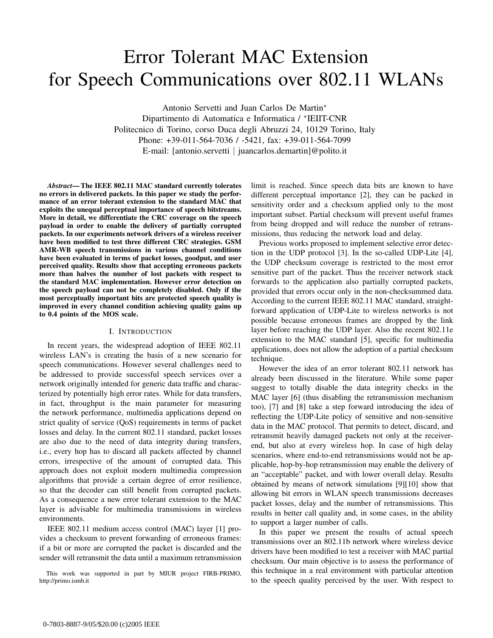# Error Tolerant MAC Extension for Speech Communications over 802.11 WLANs

Antonio Servetti and Juan Carlos De Martin∗ Dipartimento di Automatica e Informatica / ∗IEIIT-CNR Politecnico di Torino, corso Duca degli Abruzzi 24, 10129 Torino, Italy Phone: +39-011-564-7036 / -5421, fax: +39-011-564-7099 E-mail: [antonio.servetti *|* juancarlos.demartin]@polito.it

*Abstract***— The IEEE 802.11 MAC standard currently tolerates no errors in delivered packets. In this paper we study the performance of an error tolerant extension to the standard MAC that exploits the unequal perceptual importance of speech bitstreams. More in detail, we differentiate the CRC coverage on the speech payload in order to enable the delivery of partially corrupted packets. In our experiments network drivers of a wireless receiver have been modified to test three different CRC strategies. GSM AMR-WB speech transmissions in various channel conditions have been evaluated in terms of packet losses, goodput, and user perceived quality. Results show that accepting erroneous packets more than halves the number of lost packets with respect to the standard MAC implementation. However error detection on the speech payload can not be completely disabled. Only if the most perceptually important bits are protected speech quality is improved in every channel condition achieving quality gains up to 0.4 points of the MOS scale.**

## I. INTRODUCTION

In recent years, the widespread adoption of IEEE 802.11 wireless LAN's is creating the basis of a new scenario for speech communications. However several challenges need to be addressed to provide successful speech services over a network originally intended for generic data traffic and characterized by potentially high error rates. While for data transfers, in fact, throughput is the main parameter for measuring the network performance, multimedia applications depend on strict quality of service (QoS) requirements in terms of packet losses and delay. In the current 802.11 standard, packet losses are also due to the need of data integrity during transfers, i.e., every hop has to discard all packets affected by channel errors, irrespective of the amount of corrupted data. This approach does not exploit modern multimedia compression algorithms that provide a certain degree of error resilience, so that the decoder can still benefit from corrupted packets. As a consequence a new error tolerant extension to the MAC layer is advisable for multimedia transmissions in wireless environments.

IEEE 802.11 medium access control (MAC) layer [1] provides a checksum to prevent forwarding of erroneous frames: if a bit or more are corrupted the packet is discarded and the sender will retransmit the data until a maximum retransmission

This work was supported in part by MIUR project FIRB-PRIMO, http://primo.ismb.it

limit is reached. Since speech data bits are known to have different perceptual importance [2], they can be packed in sensitivity order and a checksum applied only to the most important subset. Partial checksum will prevent useful frames from being dropped and will reduce the number of retransmissions, thus reducing the network load and delay.

Previous works proposed to implement selective error detection in the UDP protocol [3]. In the so-called UDP-Lite [4], the UDP checksum coverage is restricted to the most error sensitive part of the packet. Thus the receiver network stack forwards to the application also partially corrupted packets, provided that errors occur only in the non-checksummed data. According to the current IEEE 802.11 MAC standard, straightforward application of UDP-Lite to wireless networks is not possible because erroneous frames are dropped by the link layer before reaching the UDP layer. Also the recent 802.11e extension to the MAC standard [5], specific for multimedia applications, does not allow the adoption of a partial checksum technique.

However the idea of an error tolerant 802.11 network has already been discussed in the literature. While some paper suggest to totally disable the data integrity checks in the MAC layer [6] (thus disabling the retransmission mechanism too), [7] and [8] take a step forward introducing the idea of reflecting the UDP-Lite policy of sensitive and non-sensitive data in the MAC protocol. That permits to detect, discard, and retransmit heavily damaged packets not only at the receiverend, but also at every wireless hop. In case of high delay scenarios, where end-to-end retransmissions would not be applicable, hop-by-hop retransmission may enable the delivery of an "acceptable" packet, and with lower overall delay. Results obtained by means of network simulations [9][10] show that allowing bit errors in WLAN speech transmissions decreases packet losses, delay and the number of retransmissions. This results in better call quality and, in some cases, in the ability to support a larger number of calls.

In this paper we present the results of actual speech transmissions over an 802.11b network where wireless device drivers have been modified to test a receiver with MAC partial checksum. Our main objective is to assess the performance of this technique in a real environment with particular attention to the speech quality perceived by the user. With respect to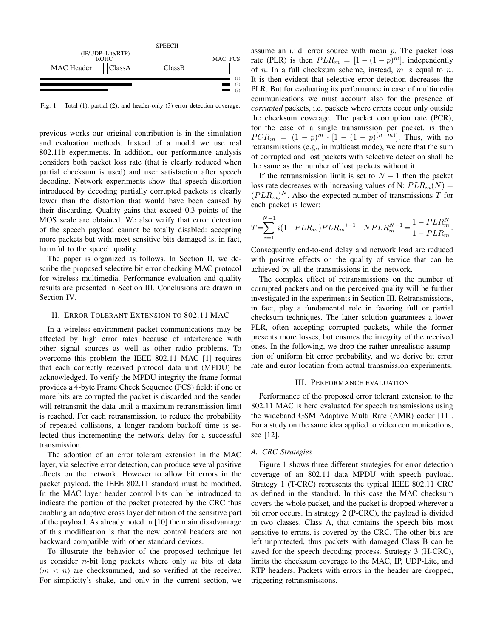

Fig. 1. Total (1), partial (2), and header-only (3) error detection coverage.

previous works our original contribution is in the simulation and evaluation methods. Instead of a model we use real 802.11b experiments. In addition, our performance analysis considers both packet loss rate (that is clearly reduced when partial checksum is used) and user satisfaction after speech decoding. Network experiments show that speech distortion introduced by decoding partially corrupted packets is clearly lower than the distortion that would have been caused by their discarding. Quality gains that exceed 0.3 points of the MOS scale are obtained. We also verify that error detection of the speech payload cannot be totally disabled: accepting more packets but with most sensitive bits damaged is, in fact, harmful to the speech quality.

The paper is organized as follows. In Section II, we describe the proposed selective bit error checking MAC protocol for wireless multimedia. Performance evaluation and quality results are presented in Section III. Conclusions are drawn in Section IV.

## II. ERROR TOLERANT EXTENSION TO 802.11 MAC

In a wireless environment packet communications may be affected by high error rates because of interference with other signal sources as well as other radio problems. To overcome this problem the IEEE 802.11 MAC [1] requires that each correctly received protocol data unit (MPDU) be acknowledged. To verify the MPDU integrity the frame format provides a 4-byte Frame Check Sequence (FCS) field: if one or more bits are corrupted the packet is discarded and the sender will retransmit the data until a maximum retransmission limit is reached. For each retransmission, to reduce the probability of repeated collisions, a longer random backoff time is selected thus incrementing the network delay for a successful transmission.

The adoption of an error tolerant extension in the MAC layer, via selective error detection, can produce several positive effects on the network. However to allow bit errors in the packet payload, the IEEE 802.11 standard must be modified. In the MAC layer header control bits can be introduced to indicate the portion of the packet protected by the CRC thus enabling an adaptive cross layer definition of the sensitive part of the payload. As already noted in [10] the main disadvantage of this modification is that the new control headers are not backward compatible with other standard devices.

To illustrate the behavior of the proposed technique let us consider *n*-bit long packets where only *m* bits of data  $(m < n)$  are checksummed, and so verified at the receiver. For simplicity's shake, and only in the current section, we assume an i.i.d. error source with mean *p*. The packet loss rate (PLR) is then  $PLR_m = [1 - (1 - p)^m]$ , independently of *n*. In a full checksum scheme, instead, *m* is equal to *n*. It is then evident that selective error detection decreases the PLR. But for evaluating its performance in case of multimedia communications we must account also for the presence of *corrupted* packets, i.e. packets where errors occur only outside the checksum coverage. The packet corruption rate (PCR), for the case of a single transmission per packet, is then  $PCR_m = (1 - p)^m \cdot [1 - (1 - p)^{(n - m)}]$ . Thus, with no retransmissions (e.g., in multicast mode), we note that the sum of corrupted and lost packets with selective detection shall be the same as the number of lost packets without it.

If the retransmission limit is set to  $N-1$  then the packet loss rate decreases with increasing values of N:  $PLR_m(N)$  =  $(PLR_m)^N$ . Also the expected number of transmissions *T* for each packet is lower:

$$
T = \sum_{i=1}^{N-1} i(1 - PLR_m)PLR_m^{i-1} + N.PLR_m^{N-1} = \frac{1 - PLR_m^N}{1 - PLR_m}.
$$

Consequently end-to-end delay and network load are reduced with positive effects on the quality of service that can be achieved by all the transmissions in the network.

The complex effect of retransmissions on the number of corrupted packets and on the perceived quality will be further investigated in the experiments in Section III. Retransmissions, in fact, play a fundamental role in favoring full or partial checksum techniques. The latter solution guarantees a lower PLR, often accepting corrupted packets, while the former presents more losses, but ensures the integrity of the received ones. In the following, we drop the rather unrealistic assumption of uniform bit error probability, and we derive bit error rate and error location from actual transmission experiments.

## III. PERFORMANCE EVALUATION

Performance of the proposed error tolerant extension to the 802.11 MAC is here evaluated for speech transmissions using the wideband GSM Adaptive Multi Rate (AMR) coder [11]. For a study on the same idea applied to video communications, see [12].

## *A. CRC Strategies*

Figure 1 shows three different strategies for error detection coverage of an 802.11 data MPDU with speech payload. Strategy 1 (T-CRC) represents the typical IEEE 802.11 CRC as defined in the standard. In this case the MAC checksum covers the whole packet, and the packet is dropped wherever a bit error occurs. In strategy 2 (P-CRC), the payload is divided in two classes. Class A, that contains the speech bits most sensitive to errors, is covered by the CRC. The other bits are left unprotected, thus packets with damaged Class B can be saved for the speech decoding process. Strategy 3 (H-CRC), limits the checksum coverage to the MAC, IP, UDP-Lite, and RTP headers. Packets with errors in the header are dropped, triggering retransmissions.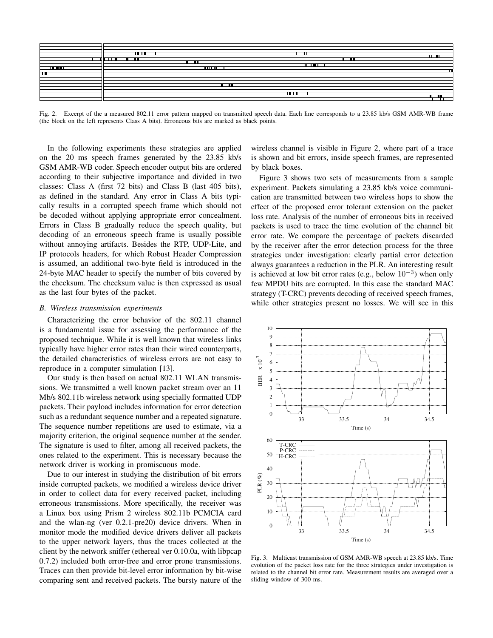

Fig. 2. Excerpt of the a measured 802.11 error pattern mapped on transmitted speech data. Each line corresponds to a 23.85 kb/s GSM AMR-WB frame (the block on the left represents Class A bits). Erroneous bits are marked as black points.

In the following experiments these strategies are applied on the 20 ms speech frames generated by the 23.85 kb/s GSM AMR-WB coder. Speech encoder output bits are ordered according to their subjective importance and divided in two classes: Class A (first 72 bits) and Class B (last 405 bits), as defined in the standard. Any error in Class A bits typically results in a corrupted speech frame which should not be decoded without applying appropriate error concealment. Errors in Class B gradually reduce the speech quality, but decoding of an erroneous speech frame is usually possible without annoying artifacts. Besides the RTP, UDP-Lite, and IP protocols headers, for which Robust Header Compression is assumed, an additional two-byte field is introduced in the 24-byte MAC header to specify the number of bits covered by the checksum. The checksum value is then expressed as usual as the last four bytes of the packet.

#### *B. Wireless transmission experiments*

Characterizing the error behavior of the 802.11 channel is a fundamental issue for assessing the performance of the proposed technique. While it is well known that wireless links typically have higher error rates than their wired counterparts, the detailed characteristics of wireless errors are not easy to reproduce in a computer simulation [13].

Our study is then based on actual 802.11 WLAN transmissions. We transmitted a well known packet stream over an 11 Mb/s 802.11b wireless network using specially formatted UDP packets. Their payload includes information for error detection such as a redundant sequence number and a repeated signature. The sequence number repetitions are used to estimate, via a majority criterion, the original sequence number at the sender. The signature is used to filter, among all received packets, the ones related to the experiment. This is necessary because the network driver is working in promiscuous mode.

Due to our interest in studying the distribution of bit errors inside corrupted packets, we modified a wireless device driver in order to collect data for every received packet, including erroneous transmissions. More specifically, the receiver was a Linux box using Prism 2 wireless 802.11b PCMCIA card and the wlan-ng (ver 0.2.1-pre20) device drivers. When in monitor mode the modified device drivers deliver all packets to the upper network layers, thus the traces collected at the client by the network sniffer (ethereal ver 0.10.0a, with libpcap 0.7.2) included both error-free and error prone transmissions. Traces can then provide bit-level error information by bit-wise comparing sent and received packets. The bursty nature of the

wireless channel is visible in Figure 2, where part of a trace is shown and bit errors, inside speech frames, are represented by black boxes.

Figure 3 shows two sets of measurements from a sample experiment. Packets simulating a 23.85 kb/s voice communication are transmitted between two wireless hops to show the effect of the proposed error tolerant extension on the packet loss rate. Analysis of the number of erroneous bits in received packets is used to trace the time evolution of the channel bit error rate. We compare the percentage of packets discarded by the receiver after the error detection process for the three strategies under investigation: clearly partial error detection always guarantees a reduction in the PLR. An interesting result is achieved at low bit error rates (e.g., below 10*−*<sup>3</sup>) when only few MPDU bits are corrupted. In this case the standard MAC strategy (T-CRC) prevents decoding of received speech frames, while other strategies present no losses. We will see in this



Fig. 3. Multicast transmission of GSM AMR-WB speech at 23.85 kb/s. Time evolution of the packet loss rate for the three strategies under investigation is related to the channel bit error rate. Measurement results are averaged over a sliding window of 300 ms.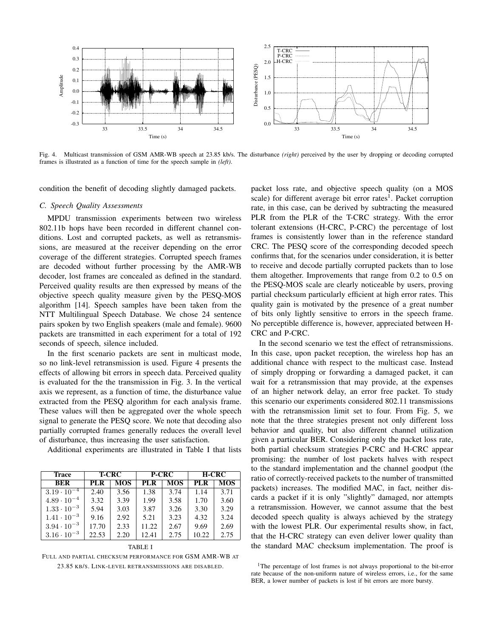

Fig. 4. Multicast transmission of GSM AMR-WB speech at 23.85 kb/s. The disturbance *(right)* perceived by the user by dropping or decoding corrupted frames is illustrated as a function of time for the speech sample in *(left)*.

condition the benefit of decoding slightly damaged packets.

#### *C. Speech Quality Assessments*

MPDU transmission experiments between two wireless 802.11b hops have been recorded in different channel conditions. Lost and corrupted packets, as well as retransmissions, are measured at the receiver depending on the error coverage of the different strategies. Corrupted speech frames are decoded without further processing by the AMR-WB decoder, lost frames are concealed as defined in the standard. Perceived quality results are then expressed by means of the objective speech quality measure given by the PESQ-MOS algorithm [14]. Speech samples have been taken from the NTT Multilingual Speech Database. We chose 24 sentence pairs spoken by two English speakers (male and female). 9600 packets are transmitted in each experiment for a total of 192 seconds of speech, silence included.

In the first scenario packets are sent in multicast mode, so no link-level retransmission is used. Figure 4 presents the effects of allowing bit errors in speech data. Perceived quality is evaluated for the the transmission in Fig. 3. In the vertical axis we represent, as a function of time, the disturbance value extracted from the PESQ algorithm for each analysis frame. These values will then be aggregated over the whole speech signal to generate the PESQ score. We note that decoding also partially corrupted frames generally reduces the overall level of disturbance, thus increasing the user satisfaction.

Additional experiments are illustrated in Table I that lists

| <b>Trace</b>         | <b>T-CRC</b> |            | <b>P-CRC</b> |            | <b>H-CRC</b> |            |
|----------------------|--------------|------------|--------------|------------|--------------|------------|
| <b>BER</b>           | PL R         | <b>MOS</b> | PL R         | <b>MOS</b> | PL R         | <b>MOS</b> |
| $3.19 \cdot 10^{-4}$ | 2.40         | 3.56       | 1.38         | 3.74       | 1.14         | 3.71       |
| $4.89 \cdot 10^{-4}$ | 3.32         | 3.39       | 1.99         | 3.58       | 1.70         | 3.60       |
| $1.33 \cdot 10^{-3}$ | 5.94         | 3.03       | 3.87         | 3.26       | 3.30         | 3.29       |
| $1.41 \cdot 10^{-3}$ | 9.16         | 2.92       | 5.21         | 3.23       | 4.32         | 3.24       |
| $3.94 \cdot 10^{-3}$ | 17.70        | 2.33       | 11.22        | 2.67       | 9.69         | 2.69       |
| $3.16 \cdot 10^{-3}$ | 22.53        | 2.20       | 12.41        | 2.75       | 10.22        | 2.75       |

TABLE I

FULL AND PARTIAL CHECKSUM PERFORMANCE FOR GSM AMR-WB AT 23.85 KB/S. LINK-LEVEL RETRANSMISSIONS ARE DISABLED.

packet loss rate, and objective speech quality (on a MOS scale) for different average bit error rates<sup>1</sup>. Packet corruption rate, in this case, can be derived by subtracting the measured PLR from the PLR of the T-CRC strategy. With the error tolerant extensions (H-CRC, P-CRC) the percentage of lost frames is consistently lower than in the reference standard CRC. The PESQ score of the corresponding decoded speech confirms that, for the scenarios under consideration, it is better to receive and decode partially corrupted packets than to lose them altogether. Improvements that range from 0.2 to 0.5 on the PESQ-MOS scale are clearly noticeable by users, proving partial checksum particularly efficient at high error rates. This quality gain is motivated by the presence of a great number of bits only lightly sensitive to errors in the speech frame. No perceptible difference is, however, appreciated between H-CRC and P-CRC.

In the second scenario we test the effect of retransmissions. In this case, upon packet reception, the wireless hop has an additional chance with respect to the multicast case. Instead of simply dropping or forwarding a damaged packet, it can wait for a retransmission that may provide, at the expenses of an higher network delay, an error free packet. To study this scenario our experiments considered 802.11 transmissions with the retransmission limit set to four. From Fig. 5, we note that the three strategies present not only different loss behavior and quality, but also different channel utilization given a particular BER. Considering only the packet loss rate, both partial checksum strategies P-CRC and H-CRC appear promising: the number of lost packets halves with respect to the standard implementation and the channel goodput (the ratio of correctly-received packets to the number of transmitted packets) increases. The modified MAC, in fact, neither discards a packet if it is only "slightly" damaged, nor attempts a retransmission. However, we cannot assume that the best decoded speech quality is always achieved by the strategy with the lowest PLR. Our experimental results show, in fact, that the H-CRC strategy can even deliver lower quality than the standard MAC checksum implementation. The proof is

<sup>&</sup>lt;sup>1</sup>The percentage of lost frames is not always proportional to the bit-error rate because of the non-uniform nature of wireless errors, i.e., for the same BER, a lower number of packets is lost if bit errors are more bursty.